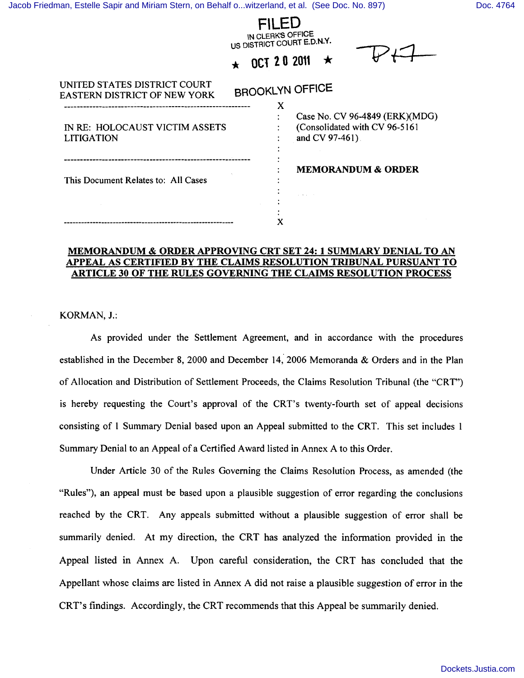|                                                                     | IN CLERK'S OFFICE<br>US DISTRICT COURT E.D.N.Y.<br><b>OCT 20 2011</b>              |
|---------------------------------------------------------------------|------------------------------------------------------------------------------------|
| UNITED STATES DISTRICT COURT<br><b>EASTERN DISTRICT OF NEW YORK</b> | <b>BROOKLYN OFFICE</b><br>X                                                        |
| IN RE: HOLOCAUST VICTIM ASSETS<br><b>LITIGATION</b>                 | Case No. CV 96-4849 (ERK)(MDG)<br>(Consolidated with CV 96-5161<br>and CV 97-461). |
| This Document Relates to: All Cases                                 | <b>MEMORANDUM &amp; ORDER</b>                                                      |
|                                                                     |                                                                                    |

## MEMORANDUM & ORDER APPROVING CRT SET 24: 1 SUMMARY DENIAL TO AN APPEAL AS CERTIFIED BY THE CLAIMS RESOLUTION TRIBUNAL PURSUANT TO ARTICLE 30 OF THE RULES GOVERNING THE CLAIMS RESOLUTION PROCESS

KORMAN, J.:

As provided under the Settlement Agreement, and in accordance with the procedures established in the December 8, 2000 and December 14, 2006 Memoranda & Orders and in the Plan of Allocation and Distribution of Settlement Proceeds, the Claims Resolution Tribunal (the "CRT") is hereby requesting the Court's approval of the CRT's twenty-fourth set of appeal decisions consisting of 1 Summary Denial based upon an Appeal submitted to the CRT. This set includes 1 Summary Denial to an Appeal ofa Certified Award listed in Annex A to this Order.

Under Article 30 of the Rules Governing the Claims Resolution Process, as amended (the "Rules"), an appeal must be based upon a plausible suggestion of error regarding the conclusions reached by the CRT. Any appeals submitted without a plausible suggestion of error shall be summarily denied. At my direction, the CRT has analyzed the information provided in the Appeal listed in Annex A. Upon careful consideration, the CRT has concluded that the Appellant whose claims are listed in Annex A did not raise a plausible suggestion of error in the CRT's findings. Accordingly, the CRT recommends that this Appeal be summarily denied.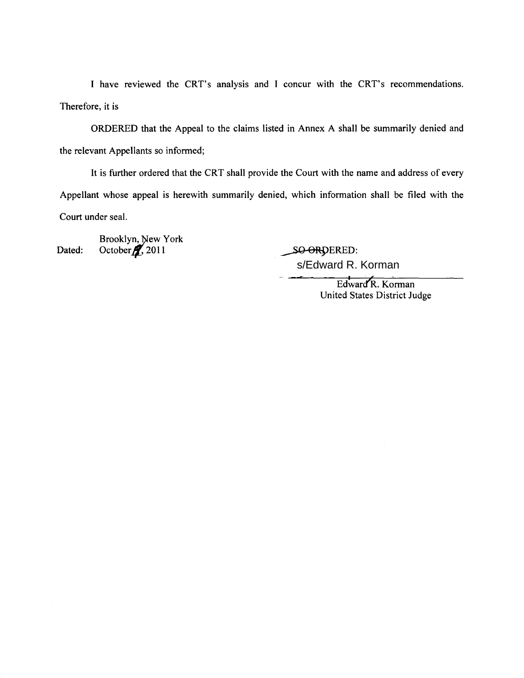I have reviewed the CRT's analysis and I concur with the CRT's recommendations. Therefore, it is

ORDERED that the Appeal to the claims listed in Annex A shall be summarily denied and the relevant Appellants so informed;

It is further ordered that the CRT shall provide the Court with the name and address of every Appellant whose appeal is herewith summarily denied, which information shall be filed with the Court under seal.

Dated: Brooklyn, New York 2011

SO-ORDERED: s/Edward R. Korman

> Edward'R. Korman United States District Judge